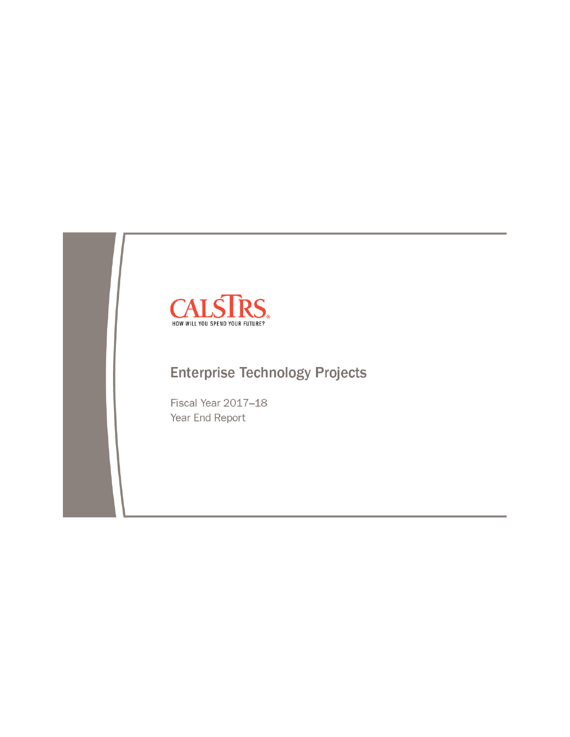

# **Enterprise Technology Projects**

Fiscal Year 2017-18 Year End Report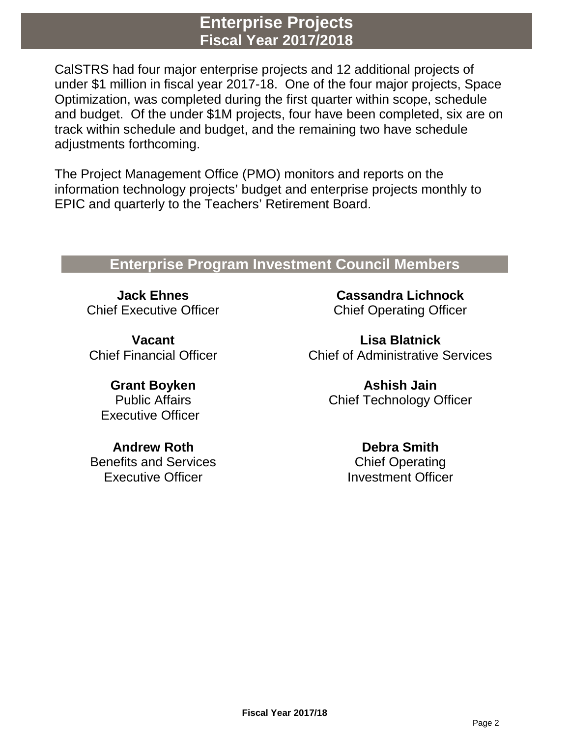## **Enterprise Projects Fiscal Year 2017/2018**

CalSTRS had four major enterprise projects and 12 additional projects of under \$1 million in fiscal year 2017-18. One of the four major projects, Space Optimization, was completed during the first quarter within scope, schedule and budget. Of the under \$1M projects, four have been completed, six are on track within schedule and budget, and the remaining two have schedule adjustments forthcoming.

The Project Management Office (PMO) monitors and reports on the information technology projects' budget and enterprise projects monthly to EPIC and quarterly to the Teachers' Retirement Board.

## **Enterprise Program Investment Council Members**

**Jack Ehnes** Chief Executive Officer

**Vacant** Chief Financial Officer

**Grant Boyken** Public Affairs Executive Officer

**Andrew Roth** Benefits and Services Executive Officer

**Cassandra Lichnock** Chief Operating Officer

**Lisa Blatnick** Chief of Administrative Services

> **Ashish Jain** Chief Technology Officer

> > **Debra Smith** Chief Operating Investment Officer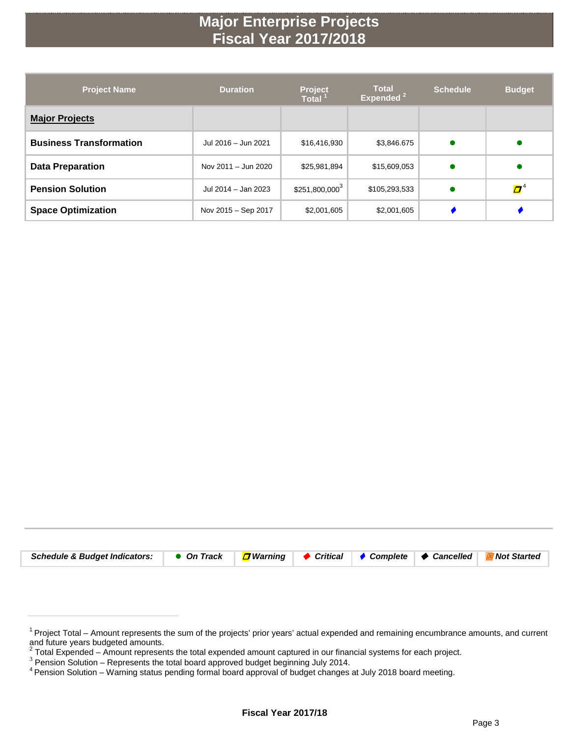# **Major Enterprise Projects Fiscal Year 2017/2018**

| <b>Project Name</b>            | <b>Duration</b>     | <b>Total</b><br><b>Project</b><br>Expended <sup>2</sup><br><b>Total</b> |               | <b>Schedule</b> | <b>Budget</b>           |
|--------------------------------|---------------------|-------------------------------------------------------------------------|---------------|-----------------|-------------------------|
| <b>Major Projects</b>          |                     |                                                                         |               |                 |                         |
| <b>Business Transformation</b> | Jul 2016 - Jun 2021 | \$16,416,930                                                            | \$3,846.675   |                 |                         |
| <b>Data Preparation</b>        | Nov 2011 - Jun 2020 | \$25,981,894                                                            | \$15,609,053  |                 |                         |
| <b>Pension Solution</b>        | Jul 2014 - Jan 2023 | $$251,800,000^3$                                                        | \$105,293,533 |                 | $\boldsymbol{\varPi}^4$ |
| <b>Space Optimization</b>      | Nov 2015 - Sep 2017 | \$2,001,605                                                             | \$2,001,605   |                 |                         |

| Schedule & Budget Indicators: ● On Track   <mark>D</mark> Warning   ◆ Critical   ◆ Complete   ◆ Cancelled   E Not Started |  |  |  |
|---------------------------------------------------------------------------------------------------------------------------|--|--|--|

<sup>&</sup>lt;sup>1</sup> Project Total – Amount represents the sum of the projects' prior years' actual expended and remaining encumbrance amounts, and current and future years budgeted amounts.

<sup>&</sup>lt;sup>2</sup> Total Expended – Amount represents the total expended amount captured in our financial systems for each project.<br><sup>3</sup> Pension Solution – Represents the total board approved budget beginning July 2014.<br><sup>4</sup> Pension Soluti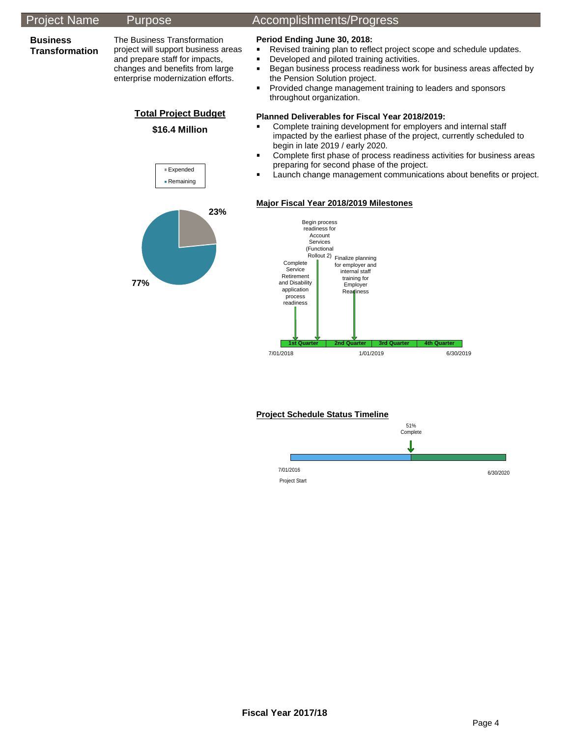

### **Project Schedule Status Timeline**

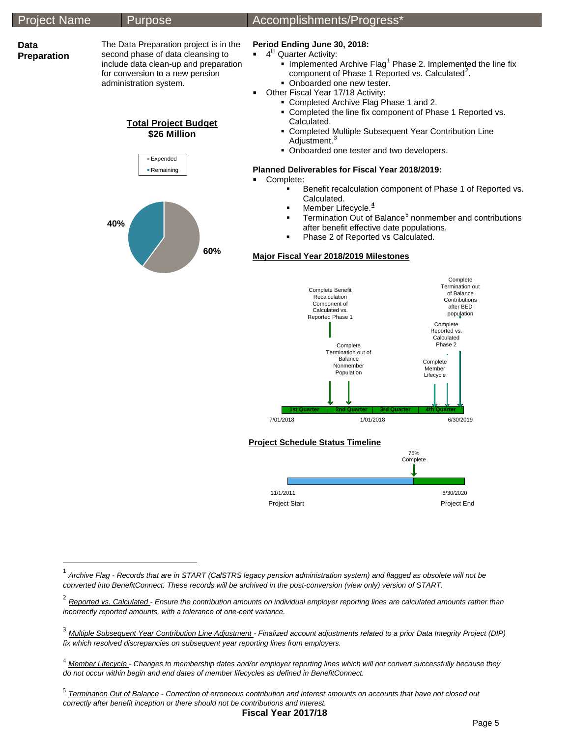

<span id="page-4-0"></span><sup>1</sup> *Archive Flag - Records that are in START (CalSTRS legacy pension administration system) and flagged as obsolete will not be converted into BenefitConnect. These records will be archived in the post-conversion (view only) version of START.*

 $\overline{a}$ 

<span id="page-4-1"></span><sup>2</sup> *Reported vs. Calculated - Ensure the contribution amounts on individual employer reporting lines are calculated amounts rather than incorrectly reported amounts, with a tolerance of one-cent variance.*

<span id="page-4-2"></span><sup>&</sup>lt;sup>3</sup> Multiple Subsequent Year Contribution Line Adjustment - Finalized account adjustments related to a prior Data Integrity Project (DIP) *fix which resolved discrepancies on subsequent year reporting lines from employers.*

<span id="page-4-3"></span><sup>4</sup> *Member Lifecycle - Changes to membership dates and/or employer reporting lines which will not convert successfully because they do not occur within begin and end dates of member lifecycles as defined in BenefitConnect.*

<span id="page-4-4"></span><sup>5</sup> *Termination Out of Balance - Correction of erroneous contribution and interest amounts on accounts that have not closed out correctly after benefit inception or there should not be contributions and interest.*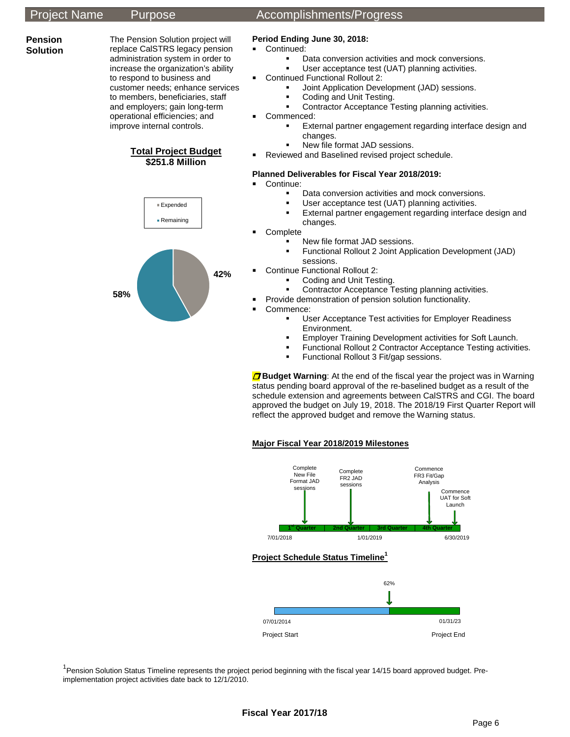**Pension Solution**

### The Pension Solution project will replace CalSTRS legacy pension administration system in order to increase the organization's ability to respond to business and customer needs; enhance services to members, beneficiaries, staff and employers; gain long-term operational efficiencies; and improve internal controls.





## Project Name Purpose Accomplishments/Progress

### **Period Ending June 30, 2018:**

- **Continued:** 
	- Data conversion activities and mock conversions.
		- User acceptance test (UAT) planning activities.
- Continued Functional Rollout 2:
	- Joint Application Development (JAD) sessions.
	- Coding and Unit Testing.
	- Contractor Acceptance Testing planning activities.
- **Commenced:** 
	- External partner engagement regarding interface design and changes.
	- New file format JAD sessions.
- Reviewed and Baselined revised project schedule.

#### **Planned Deliverables for Fiscal Year 2018/2019:**

**Continue:** 

- Data conversion activities and mock conversions.
- User acceptance test (UAT) planning activities.
- **External partner engagement regarding interface design and** changes.
- Complete
	- New file format JAD sessions.
	- Functional Rollout 2 Joint Application Development (JAD) sessions.
- Continue Functional Rollout 2:
	- Coding and Unit Testing.
	- Contractor Acceptance Testing planning activities.
	- Provide demonstration of pension solution functionality.
- Commence:
	- User Acceptance Test activities for Employer Readiness Environment.
	- Employer Training Development activities for Soft Launch.
	- Functional Rollout 2 Contractor Acceptance Testing activities.
	- Functional Rollout 3 Fit/gap sessions.

**D** Budget Warning: At the end of the fiscal year the project was in Warning status pending board approval of the re-baselined budget as a result of the schedule extension and agreements between CalSTRS and CGI. The board approved the budget on July 19, 2018. The 2018/19 First Quarter Report will reflect the approved budget and remove the Warning status.

### **Major Fiscal Year 2018/2019 Milestones**



<sup>1</sup> Pension Solution Status Timeline represents the project period beginning with the fiscal year 14/15 board approved budget. Preimplementation project activities date back to 12/1/2010.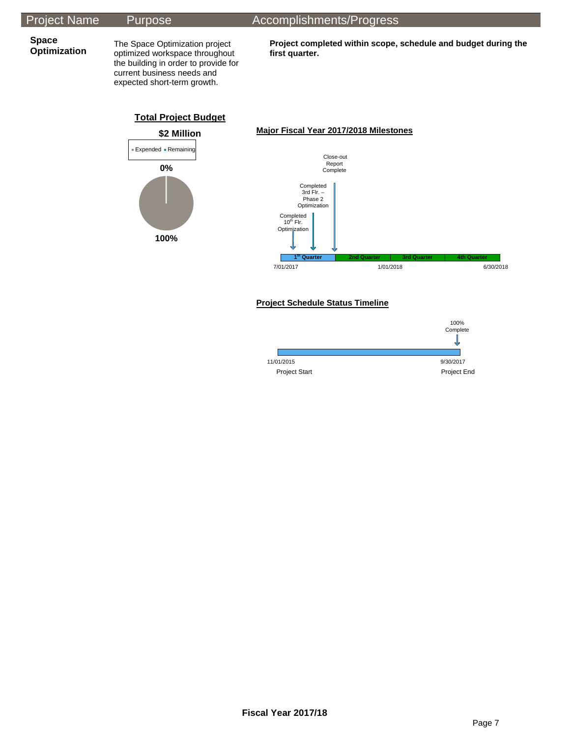## Project Name Purpose Accomplishments/Progress

**Space** 

**Optimization** The Space Optimization project optimized workspace throughout the building in order to provide for current business needs and expected short-term growth.

**Project completed within scope, schedule and budget during the first quarter.**



#### **Project Schedule Status Timeline**

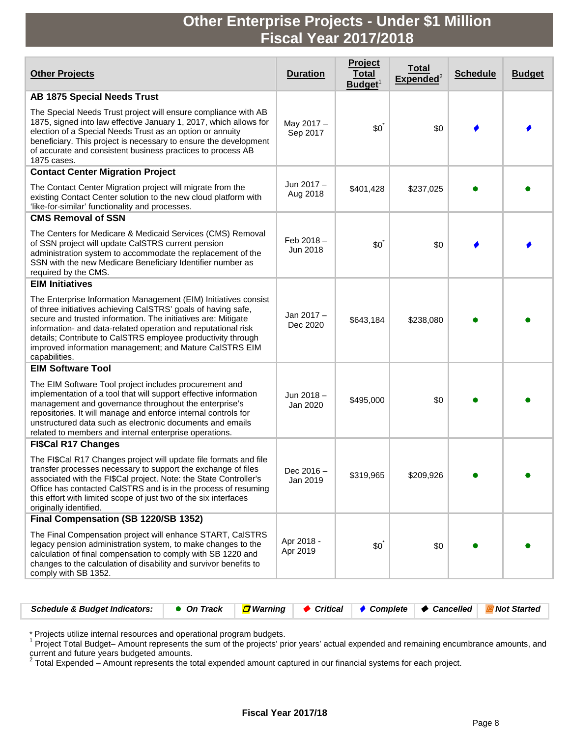# **Other Enterprise Projects - Under \$1 Million Fiscal Year 2017/2018**

| <b>Other Projects</b>                                                                                                                                                                                                                                                                                                                                                                                          | <b>Duration</b>          | Project<br><b>Total</b><br>Budget <sup>1</sup> | <u>Total</u><br>${\sf Expected}^2$ | <b>Schedule</b> | <b>Budget</b> |
|----------------------------------------------------------------------------------------------------------------------------------------------------------------------------------------------------------------------------------------------------------------------------------------------------------------------------------------------------------------------------------------------------------------|--------------------------|------------------------------------------------|------------------------------------|-----------------|---------------|
| <b>AB 1875 Special Needs Trust</b>                                                                                                                                                                                                                                                                                                                                                                             |                          |                                                |                                    |                 |               |
| The Special Needs Trust project will ensure compliance with AB<br>1875, signed into law effective January 1, 2017, which allows for<br>election of a Special Needs Trust as an option or annuity<br>beneficiary. This project is necessary to ensure the development<br>of accurate and consistent business practices to process AB<br>1875 cases.                                                             | May 2017 -<br>Sep 2017   | $$0^{\degree}$                                 | \$0                                |                 |               |
| <b>Contact Center Migration Project</b>                                                                                                                                                                                                                                                                                                                                                                        |                          |                                                |                                    |                 |               |
| The Contact Center Migration project will migrate from the<br>existing Contact Center solution to the new cloud platform with<br>'like-for-similar' functionality and processes.                                                                                                                                                                                                                               | Jun 2017 -<br>Aug 2018   | \$401,428                                      | \$237,025                          |                 |               |
| <b>CMS Removal of SSN</b>                                                                                                                                                                                                                                                                                                                                                                                      |                          |                                                |                                    |                 |               |
| The Centers for Medicare & Medicaid Services (CMS) Removal<br>of SSN project will update CalSTRS current pension<br>administration system to accommodate the replacement of the<br>SSN with the new Medicare Beneficiary Identifier number as<br>required by the CMS.                                                                                                                                          | Feb $2018 -$<br>Jun 2018 | $$0^{\degree}$                                 | \$0                                |                 |               |
| <b>EIM Initiatives</b>                                                                                                                                                                                                                                                                                                                                                                                         |                          |                                                |                                    |                 |               |
| The Enterprise Information Management (EIM) Initiatives consist<br>of three initiatives achieving CalSTRS' goals of having safe,<br>secure and trusted information. The initiatives are: Mitigate<br>information- and data-related operation and reputational risk<br>details; Contribute to CalSTRS employee productivity through<br>improved information management; and Mature CaISTRS EIM<br>capabilities. | Jan 2017-<br>Dec 2020    | \$643,184                                      | \$238,080                          |                 |               |
| <b>EIM Software Tool</b>                                                                                                                                                                                                                                                                                                                                                                                       |                          |                                                |                                    |                 |               |
| The EIM Software Tool project includes procurement and<br>implementation of a tool that will support effective information<br>management and governance throughout the enterprise's<br>repositories. It will manage and enforce internal controls for<br>unstructured data such as electronic documents and emails<br>related to members and internal enterprise operations.                                   | Jun 2018-<br>Jan 2020    | \$495,000                                      | \$0                                |                 |               |
| <b>FI\$Cal R17 Changes</b>                                                                                                                                                                                                                                                                                                                                                                                     |                          |                                                |                                    |                 |               |
| The FI\$Cal R17 Changes project will update file formats and file<br>transfer processes necessary to support the exchange of files<br>associated with the FI\$Cal project. Note: the State Controller's<br>Office has contacted CaISTRS and is in the process of resuming<br>this effort with limited scope of just two of the six interfaces<br>originally identified.                                        | Dec 2016 -<br>Jan 2019   | \$319,965                                      | \$209,926                          |                 |               |
| Final Compensation (SB 1220/SB 1352)                                                                                                                                                                                                                                                                                                                                                                           |                          |                                                |                                    |                 |               |
| The Final Compensation project will enhance START, CalSTRS<br>legacy pension administration system, to make changes to the<br>calculation of final compensation to comply with SB 1220 and<br>changes to the calculation of disability and survivor benefits to<br>comply with SB 1352.                                                                                                                        | Apr 2018 -<br>Apr 2019   | $$0^{\degree}$                                 | \$0                                |                 |               |

| Schedule & Budget Indicators: ● On Track <mark>D</mark> Warning   ◆ Critical   ◆ Complete   ◆ Cancelled   EX Not Started |  |  |  |
|--------------------------------------------------------------------------------------------------------------------------|--|--|--|

\* Projects utilize internal resources and operational program budgets.<br><sup>1</sup> Project Total Budget– Amount represents the sum of the projects' prior years' actual expended and remaining encumbrance amounts, and

current and future years budgeted amounts.<br><sup>2</sup> Total Expended – Amount represents the total expended amount captured in our financial systems for each project.